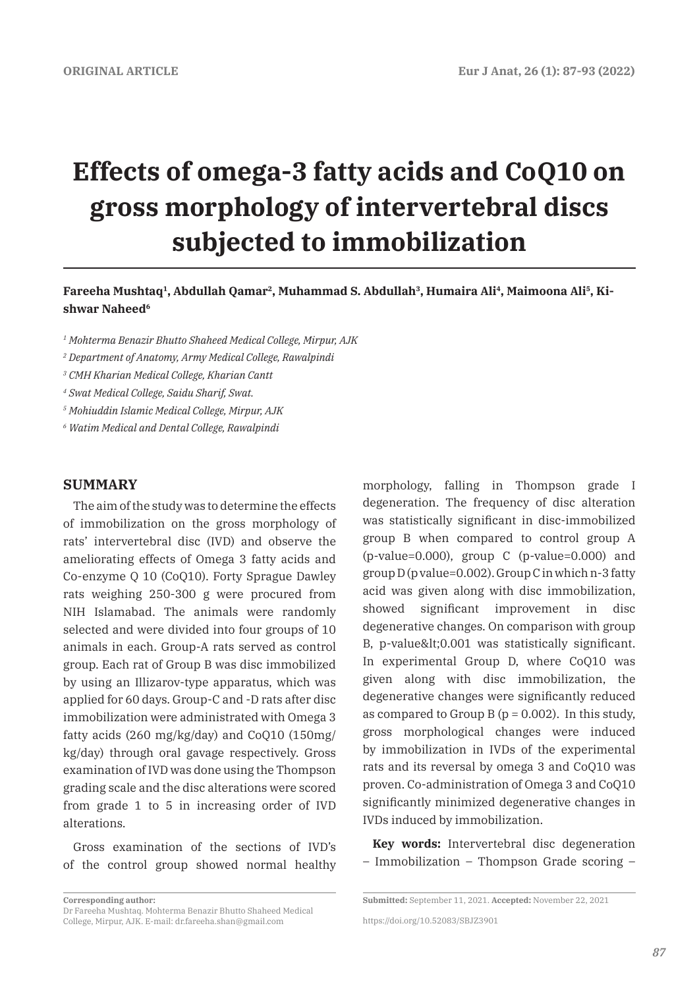# **Effects of omega-3 fatty acids and CoQ10 on gross morphology of intervertebral discs subjected to immobilization**

## Fareeha Mushtaq<sup>1</sup>, Abdullah Qamar<sup>2</sup>, Muhammad S. Abdullah<sup>3</sup>, Humaira Ali<sup>4</sup>, Maimoona Ali<sup>5</sup>, Ki**shwar Naheed6**

*1 Mohterma Benazir Bhutto Shaheed Medical College, Mirpur, AJK*

*2 Department of Anatomy, Army Medical College, Rawalpindi*

*3 CMH Kharian Medical College, Kharian Cantt*

*4 Swat Medical College, Saidu Sharif, Swat.*

*5 Mohiuddin Islamic Medical College, Mirpur, AJK*

*6 Watim Medical and Dental College, Rawalpindi*

#### **SUMMARY**

The aim of the study was to determine the effects of immobilization on the gross morphology of rats' intervertebral disc (IVD) and observe the ameliorating effects of Omega 3 fatty acids and Co-enzyme Q 10 (CoQ10). Forty Sprague Dawley rats weighing 250-300 g were procured from NIH Islamabad. The animals were randomly selected and were divided into four groups of 10 animals in each. Group-A rats served as control group. Each rat of Group B was disc immobilized by using an Illizarov-type apparatus, which was applied for 60 days. Group-C and -D rats after disc immobilization were administrated with Omega 3 fatty acids (260 mg/kg/day) and CoQ10 (150mg/ kg/day) through oral gavage respectively. Gross examination of IVD was done using the Thompson grading scale and the disc alterations were scored from grade 1 to 5 in increasing order of IVD alterations.

Gross examination of the sections of IVD's of the control group showed normal healthy

**Corresponding author:** 

morphology, falling in Thompson grade I degeneration. The frequency of disc alteration was statistically significant in disc-immobilized group B when compared to control group A (p-value=0.000), group C (p-value=0.000) and group D (p value=0.002). Group C in which n-3 fatty acid was given along with disc immobilization, showed significant improvement in disc degenerative changes. On comparison with group B, p-value<0.001 was statistically significant. In experimental Group D, where CoQ10 was given along with disc immobilization, the degenerative changes were significantly reduced as compared to Group B ( $p = 0.002$ ). In this study, gross morphological changes were induced by immobilization in IVDs of the experimental rats and its reversal by omega 3 and CoQ10 was proven. Co-administration of Omega 3 and CoQ10 significantly minimized degenerative changes in IVDs induced by immobilization.

**Key words:** Intervertebral disc degeneration – Immobilization – Thompson Grade scoring –

https://doi.org/10.52083/SBJZ3901

Dr Fareeha Mushtaq. Mohterma Benazir Bhutto Shaheed Medical College, Mirpur, AJK. E-mail: dr.fareeha.shan@gmail.com

**Submitted:** September 11, 2021. **Accepted:** November 22, 2021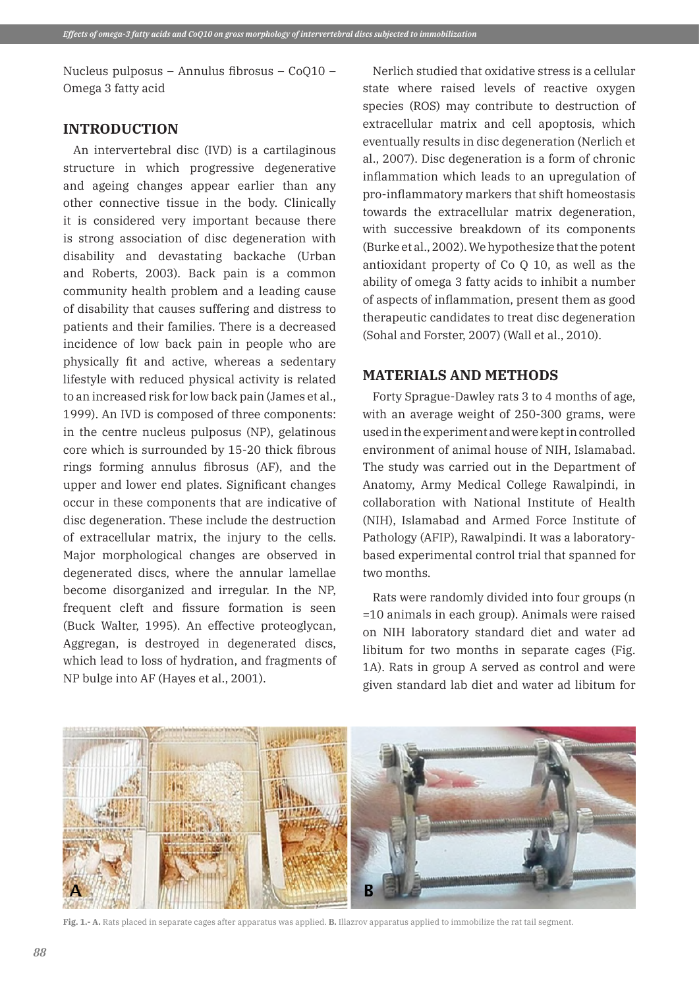Nucleus pulposus – Annulus fibrosus – CoQ10 – Omega 3 fatty acid

## **INTRODUCTION**

An intervertebral disc (IVD) is a cartilaginous structure in which progressive degenerative and ageing changes appear earlier than any other connective tissue in the body. Clinically it is considered very important because there is strong association of disc degeneration with disability and devastating backache (Urban and Roberts, 2003). Back pain is a common community health problem and a leading cause of disability that causes suffering and distress to patients and their families. There is a decreased incidence of low back pain in people who are physically fit and active, whereas a sedentary lifestyle with reduced physical activity is related to an increased risk for low back pain (James et al., 1999). An IVD is composed of three components: in the centre nucleus pulposus (NP), gelatinous core which is surrounded by 15-20 thick fibrous rings forming annulus fibrosus (AF), and the upper and lower end plates. Significant changes occur in these components that are indicative of disc degeneration. These include the destruction of extracellular matrix, the injury to the cells. Major morphological changes are observed in degenerated discs, where the annular lamellae become disorganized and irregular. In the NP, frequent cleft and fissure formation is seen (Buck Walter, 1995). An effective proteoglycan, Aggregan, is destroyed in degenerated discs, which lead to loss of hydration, and fragments of NP bulge into AF (Hayes et al., 2001).

Nerlich studied that oxidative stress is a cellular state where raised levels of reactive oxygen species (ROS) may contribute to destruction of extracellular matrix and cell apoptosis, which eventually results in disc degeneration (Nerlich et al., 2007). Disc degeneration is a form of chronic inflammation which leads to an upregulation of pro-inflammatory markers that shift homeostasis towards the extracellular matrix degeneration, with successive breakdown of its components (Burke et al., 2002). We hypothesize that the potent antioxidant property of Co Q 10, as well as the ability of omega 3 fatty acids to inhibit a number of aspects of inflammation, present them as good therapeutic candidates to treat disc degeneration (Sohal and Forster, 2007) (Wall et al., 2010).

## **MATERIALS AND METHODS**

Forty Sprague-Dawley rats 3 to 4 months of age, with an average weight of 250-300 grams, were used in the experiment and were kept in controlled environment of animal house of NIH, Islamabad. The study was carried out in the Department of Anatomy, Army Medical College Rawalpindi, in collaboration with National Institute of Health (NIH), Islamabad and Armed Force Institute of Pathology (AFIP), Rawalpindi. It was a laboratorybased experimental control trial that spanned for two months.

Rats were randomly divided into four groups (n =10 animals in each group). Animals were raised on NIH laboratory standard diet and water ad libitum for two months in separate cages (Fig. 1A). Rats in group A served as control and were given standard lab diet and water ad libitum for



**Fig. 1.- A.** Rats placed in separate cages after apparatus was applied. **B.** Illazrov apparatus applied to immobilize the rat tail segment.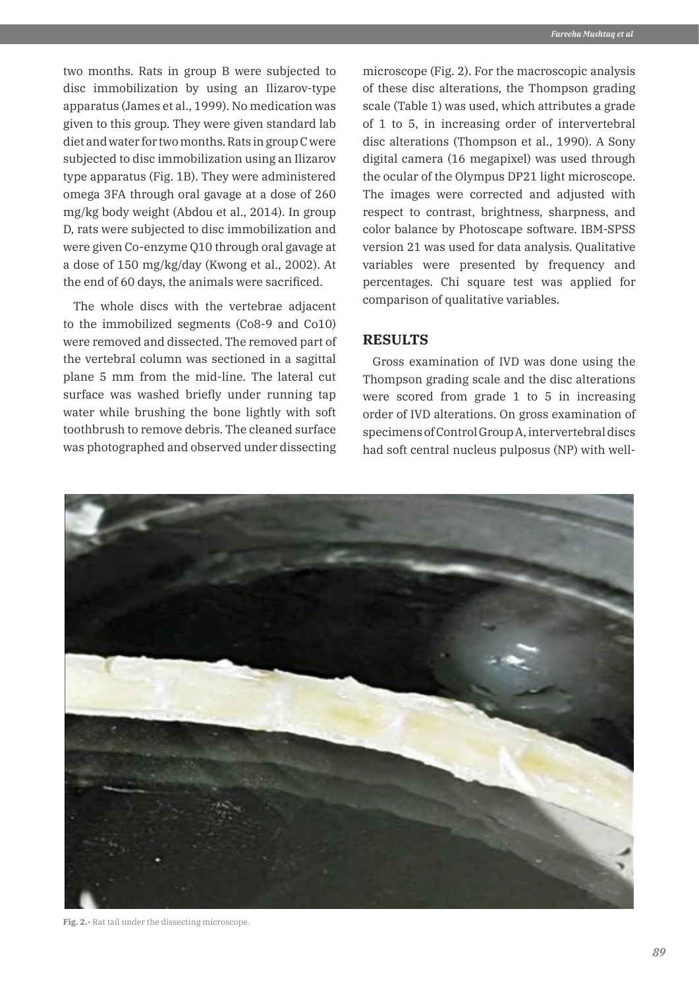two months. Rats in group B were subjected to disc immobilization by using an Ilizarov-type apparatus (James et al., 1999). No medication was given to this group. They were given standard lab diet and water for two months. Rats in group C were subjected to disc immobilization using an Ilizarov type apparatus (Fig. 1B). They were administered omega 3FA through oral gavage at a dose of 260 mg/kg body weight (Abdou et al., 2014). In group D, rats were subjected to disc immobilization and were given Co-enzyme Q10 through oral gavage at a dose of 150 mg/kg/day (Kwong et al., 2002). At the end of 60 days, the animals were sacrificed.

The whole discs with the vertebrae adjacent to the immobilized segments (Co8-9 and Co10) were removed and dissected. The removed part of the vertebral column was sectioned in a sagittal plane 5 mm from the mid-line. The lateral cut surface was washed briefly under running tap water while brushing the bone lightly with soft toothbrush to remove debris. The cleaned surface was photographed and observed under dissecting microscope (Fig. 2). For the macroscopic analysis of these disc alterations, the Thompson grading scale (Table 1) was used, which attributes a grade of 1 to 5, in increasing order of intervertebral disc alterations (Thompson et al., 1990). A Sony digital camera (16 megapixel) was used through the ocular of the Olympus DP21 light microscope. The images were corrected and adjusted with respect to contrast, brightness, sharpness, and color balance by Photoscape software. IBM-SPSS version 21 was used for data analysis. Qualitative variables were presented by frequency and percentages. Chi square test was applied for comparison of qualitative variables.

## **RESULTS**

Gross examination of IVD was done using the Thompson grading scale and the disc alterations were scored from grade 1 to 5 in increasing order of IVD alterations. On gross examination of specimens of Control Group A, intervertebral discs had soft central nucleus pulposus (NP) with well-



**Fig. 2.-** Rat tail under the dissecting microscope.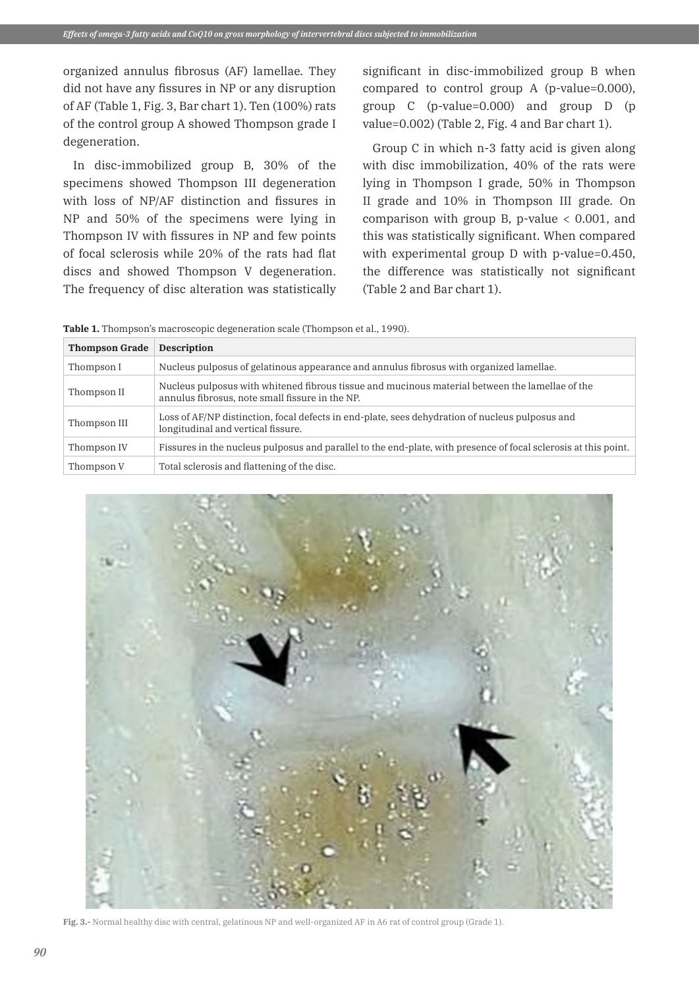organized annulus fibrosus (AF) lamellae. They did not have any fissures in NP or any disruption of AF (Table 1, Fig. 3, Bar chart 1). Ten (100%) rats of the control group A showed Thompson grade I degeneration.

In disc-immobilized group B, 30% of the specimens showed Thompson III degeneration with loss of NP/AF distinction and fissures in NP and 50% of the specimens were lying in Thompson IV with fissures in NP and few points of focal sclerosis while 20% of the rats had flat discs and showed Thompson V degeneration. The frequency of disc alteration was statistically significant in disc-immobilized group B when compared to control group A (p-value=0.000), group C (p-value=0.000) and group D (p value=0.002) (Table 2, Fig. 4 and Bar chart 1).

Group C in which n-3 fatty acid is given along with disc immobilization, 40% of the rats were lying in Thompson I grade, 50% in Thompson II grade and 10% in Thompson III grade. On comparison with group B, p-value < 0.001, and this was statistically significant. When compared with experimental group D with p-value=0.450, the difference was statistically not significant (Table 2 and Bar chart 1).

Table 1. Thompson's macroscopic degeneration scale (Thompson et al., 1990).

| <b>Thompson Grade</b> | <b>Description</b>                                                                                                                                 |
|-----------------------|----------------------------------------------------------------------------------------------------------------------------------------------------|
| Thompson I            | Nucleus pulposus of gelatinous appearance and annulus fibrosus with organized lamellae.                                                            |
| Thompson II           | Nucleus pulposus with whitened fibrous tissue and mucinous material between the lamellae of the<br>annulus fibrosus, note small fissure in the NP. |
| Thompson III          | Loss of AF/NP distinction, focal defects in end-plate, sees dehydration of nucleus pulposus and<br>longitudinal and vertical fissure.              |
| Thompson IV           | Fissures in the nucleus pulposus and parallel to the end-plate, with presence of focal sclerosis at this point.                                    |
| Thompson V            | Total sclerosis and flattening of the disc.                                                                                                        |



**Fig. 3.-** Normal healthy disc with central, gelatinous NP and well-organized AF in A6 rat of control group (Grade 1).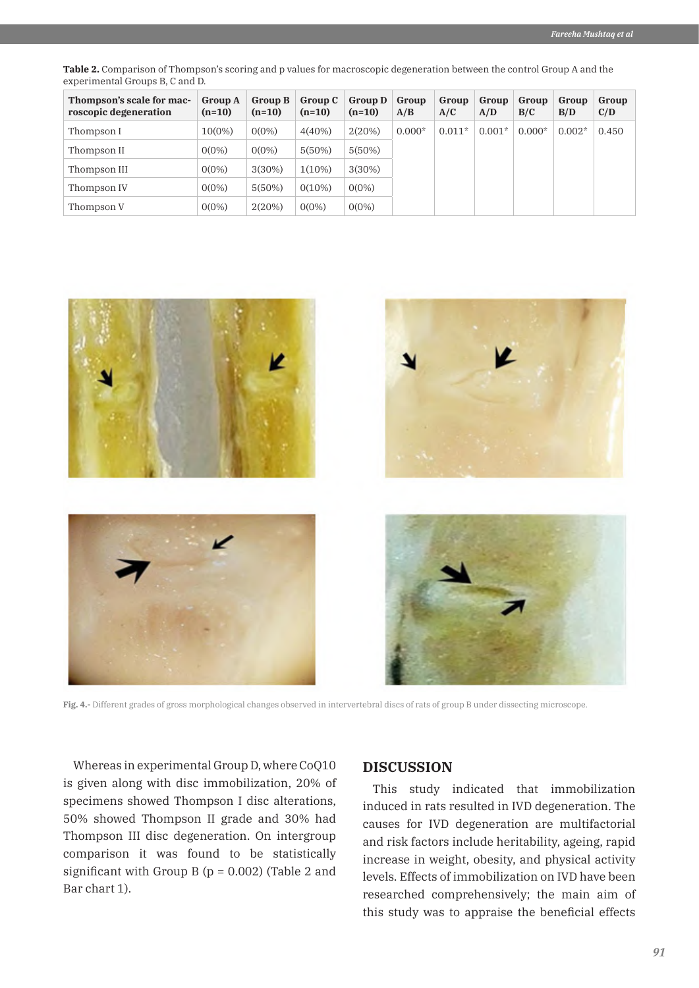**Table 2.** Comparison of Thompson's scoring and p values for macroscopic degeneration between the control Group A and the experimental Groups B, C and D.

| Thompson's scale for mac-<br>roscopic degeneration | <b>Group A</b><br>$(n=10)$ | <b>Group B</b><br>$(n=10)$ | Group C<br>$(n=10)$ | Group D<br>$(n=10)$ | Group<br>A/B | Group<br>A/C | Group<br>A/D | Group<br>B/C | Group<br>B/D | Group<br>C/D |
|----------------------------------------------------|----------------------------|----------------------------|---------------------|---------------------|--------------|--------------|--------------|--------------|--------------|--------------|
| Thompson I                                         | $10(0\%)$                  | $0(0\%)$                   | $4(40\%)$           | 2(20%)              | $0.000*$     | $0.011*$     | $0.001*$     | $0.000*$     | $0.002*$     | 0.450        |
| Thompson II                                        | $0(0\%)$                   | $0(0\%)$                   | 5(50%)              | 5(50%)              |              |              |              |              |              |              |
| Thompson III                                       | $0(0\%)$                   | 3(30%)                     | $1(10\%)$           | $3(30\%)$           |              |              |              |              |              |              |
| Thompson IV                                        | $0(0\%)$                   | 5(50%)                     | $0(10\%)$           | $0(0\%)$            |              |              |              |              |              |              |
| Thompson V                                         | $0(0\%)$                   | 2(20%)                     | $0(0\%)$            | $0(0\%)$            |              |              |              |              |              |              |



**Fig. 4.-** Different grades of gross morphological changes observed in intervertebral discs of rats of group B under dissecting microscope.

Whereas in experimental Group D, where CoQ10 is given along with disc immobilization, 20% of specimens showed Thompson I disc alterations, 50% showed Thompson II grade and 30% had Thompson III disc degeneration. On intergroup comparison it was found to be statistically significant with Group B ( $p = 0.002$ ) (Table 2 and Bar chart 1).

#### **DISCUSSION**

This study indicated that immobilization induced in rats resulted in IVD degeneration. The causes for IVD degeneration are multifactorial and risk factors include heritability, ageing, rapid increase in weight, obesity, and physical activity levels. Effects of immobilization on IVD have been researched comprehensively; the main aim of this study was to appraise the beneficial effects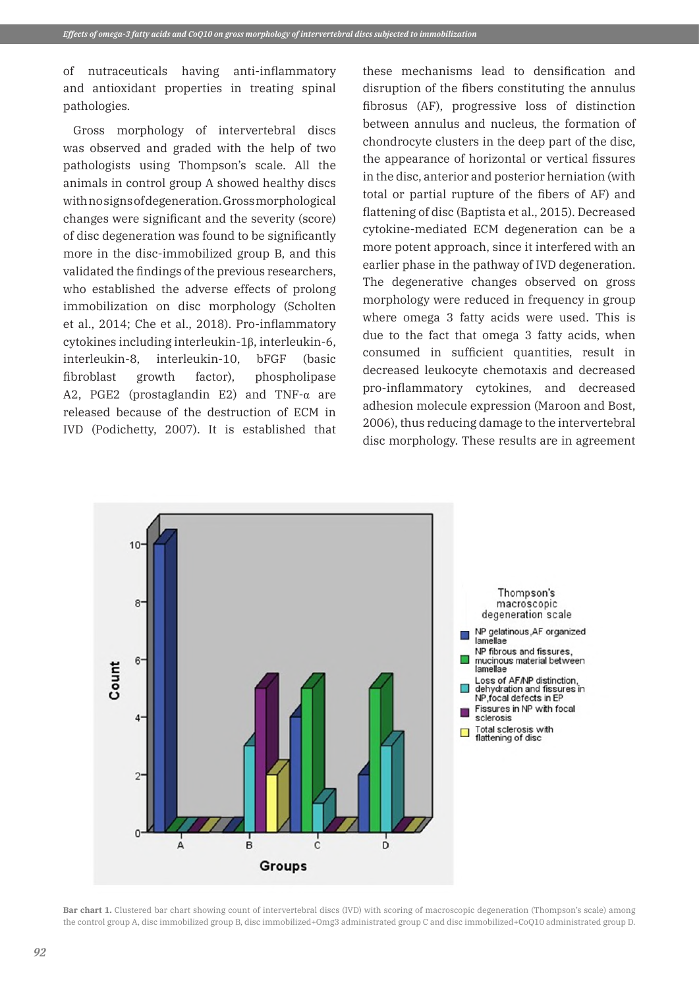of nutraceuticals having anti-inflammatory and antioxidant properties in treating spinal pathologies.

Gross morphology of intervertebral discs was observed and graded with the help of two pathologists using Thompson's scale. All the animals in control group A showed healthy discs with no signs of degeneration. Gross morphological changes were significant and the severity (score) of disc degeneration was found to be significantly more in the disc-immobilized group B, and this validated the findings of the previous researchers, who established the adverse effects of prolong immobilization on disc morphology (Scholten et al., 2014; Che et al., 2018). Pro-inflammatory cytokines including interleukin-1β, interleukin-6, interleukin-8, interleukin-10, bFGF (basic fibroblast growth factor), phospholipase A2, PGE2 (prostaglandin E2) and TNF- $\alpha$  are released because of the destruction of ECM in IVD (Podichetty, 2007). It is established that

these mechanisms lead to densification and disruption of the fibers constituting the annulus fibrosus (AF), progressive loss of distinction between annulus and nucleus, the formation of chondrocyte clusters in the deep part of the disc, the appearance of horizontal or vertical fissures in the disc, anterior and posterior herniation (with total or partial rupture of the fibers of AF) and flattening of disc (Baptista et al., 2015). Decreased cytokine-mediated ECM degeneration can be a more potent approach, since it interfered with an earlier phase in the pathway of IVD degeneration. The degenerative changes observed on gross morphology were reduced in frequency in group where omega 3 fatty acids were used. This is due to the fact that omega 3 fatty acids, when consumed in sufficient quantities, result in decreased leukocyte chemotaxis and decreased pro-inflammatory cytokines, and decreased adhesion molecule expression (Maroon and Bost, 2006), thus reducing damage to the intervertebral disc morphology. These results are in agreement



**Bar chart 1.** Clustered bar chart showing count of intervertebral discs (IVD) with scoring of macroscopic degeneration (Thompson's scale) among the control group A, disc immobilized group B, disc immobilized+Omg3 administrated group C and disc immobilized+CoQ10 administrated group D.